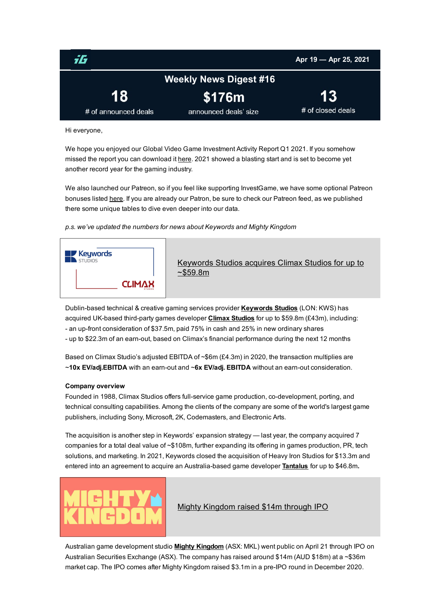<span id="page-0-0"></span>

Hi everyone,

We hope you enjoyed our Global Video Game Investment Activity Report Q1 2021. If you somehow missed the report you can download it [here](https://www.dropbox.com/s/m94bfnerlpyt5nj/Q1 2021 IG Report.pdf?dl=0). 2021 showed a blasting start and is set to become yet another record year for the gaming industry.

We also launched our Patreon, so if you feel like supporting InvestGame, we have some optional Patreon bonuses listed [here](https://www.patreon.com/investgame). If you are already our Patron, be sure to check our Patreon feed, as we published there some unique tables to dive even deeper into our data.

*p.s. we've updated the numbers for news about Keywords and Mighty Kingdom*



Dublin-based technical & creative gaming services provider [Keywords](https://www.keywordsstudios.com/about-us/) Studios (LON: KWS) has acquired UK-based third-party games developer Climax [Studios](http://www.climaxstudios.com/) for up to \$59.8m (£43m), including: - an up-front consideration of \$37.5m, paid 75% in cash and 25% in new ordinary shares - up to \$22.3m of an earn-out, based on Climax's financial performance during the next 12 months

Based on Climax Studio's adjusted EBITDA of ~\$6m (£4.3m) in 2020, the transaction multiplies are  $\sim$ 10x EV/adj.EBITDA with an earn-out and  $\sim$ 6x EV/adj. EBITDA without an earn-out consideration.

#### Company overview

Founded in 1988, Climax Studios offers full-service game production, co-development, porting, and technical consulting capabilities. Among the clients of the company are some of the world's largest game publishers, including Sony, Microsoft, 2K, Codemasters, and Electronic Arts.

The acquisition is another step in Keywords' expansion strategy — last year, the company acquired 7 companies for a total deal value of ~\$108m, further expanding its offering in games production, PR, tech solutions, and marketing. In 2021, Keywords closed the acquisition of Heavy Iron Studios for \$13.3m and entered into an agreement to acquire an Australia-based game developer [Tantalus](http://www.tantalus.com.au/) for up to \$46.8m.



# Mighty [Kingdom](https://static1.squarespace.com/static/5ec5d19e8f112e249b214aa6/t/607e3b4a9c3a0e1e467a1529/1618885451663/Mighty Kingdom Set For ASX Listing 16 April 2021.pdf) raised \$14m through IPO

Australian game development studio **Mighty [Kingdom](https://www.mightykingdom.com/)** (ASX: MKL) went public on April 21 through IPO on Australian Securities Exchange (ASX). The company has raised around \$14m (AUD \$18m) at a ~\$36m market cap. The IPO comes after Mighty Kingdom raised \$3.1m in a pre-IPO round in December 2020.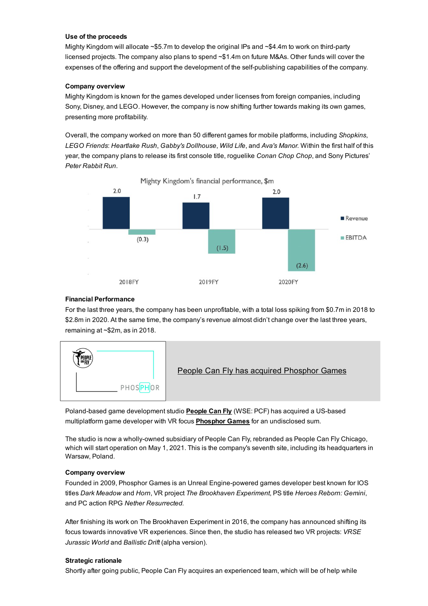#### Use of the proceeds

Mighty Kingdom will allocate  $\sim$ \$5.7m to develop the original IPs and  $\sim$ \$4.4m to work on third-party licensed projects. The company also plans to spend ~\$1.4m on future M&As. Other funds will cover the expenses of the offering and support the development of the self-publishing capabilities of the company.

## Company overview

Mighty Kingdom is known for the games developed under licenses from foreign companies, including Sony, Disney, and LEGO. However, the company is now shifting further towards making its own games, presenting more profitability.

Overall, the company worked on more than 50 different games for mobile platforms, including *Shopkins*, *LEGO Friends*: *Heartlake Rush*, *Gabby's Dollhouse*, *Wild Life*, and *Ava's Manor.* Within the first half of this year, the company plans to release its first console title, roguelike *Conan Chop Chop*, and Sony Pictures' *Peter Rabbit Run*.



## Financial Performance

For the last three years, the company has been unprofitable, with a total loss spiking from \$0.7m in 2018 to \$2.8m in 2020. At the same time, the company's revenue almost didn't change over the last three years, remaining at ~\$2m, as in 2018.



Poland-based game development studio **[People](https://peoplecanfly.com/) Can Fly** (WSE: PCF) has acquired a US-based multiplatform game developer with VR focus **[Phosphor](http://phos.ph/) Games** for an undisclosed sum.

The studio is now a wholly-owned subsidiary of People Can Fly, rebranded as People Can Fly Chicago, which will start operation on May 1, 2021. This is the company's seventh site, including its headquarters in Warsaw, Poland.

#### Company overview

Founded in 2009, Phosphor Games is an Unreal Engine-powered games developer best known for IOS titles *Dark Meadow* and *Horn*, VR project *The Brookhaven Experiment*, PS title *Heroes Reborn: Gemini*, and PC action RPG *Nether Resurrected.*

After finishing its work on The Brookhaven Experiment in 2016, the company has announced shifting its focus towards innovative VR experiences. Since then, the studio has released two VR projects: *VRSE Jurassic World* and *Ballistic Drift* (alpha version).

#### Strategic rationale

Shortly after going public, People Can Fly acquires an experienced team, which will be of help while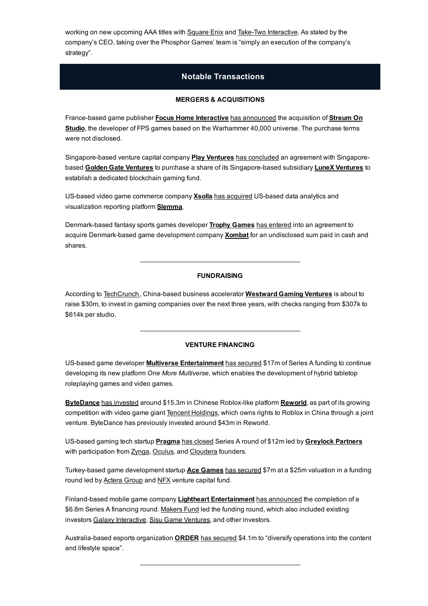working on new upcoming AAA titles with [Square](https://www.square-enix.com/) Enix and Take-Two [Interactive.](https://www.take2games.com/) As stated by the company's CEO, taking over the Phosphor Games' team is "simply an execution of the company's strategy".

# Notable Transactions

## MERGERS & ACQUISITIONS

France-based game publisher Focus Home [Interactive](https://www.focus-home.com/) has [announced](https://cdn.focus-home.com/admin/investor/website/desktop/_FILES/Communiques/20210420-2_PR_FHI-Streum On acquisition.pdf) the acquisition of [Streum](http://www.streumon-studio.com/) On [Studio,](http://www.streumon-studio.com/) the developer of FPS games based on the Warhammer 40,000 universe. The purchase terms were not disclosed.

Singapore-based venture capital company **Play [Ventures](https://www.playventures.vc/)** has [concluded](https://e27.co/play-ventures-buys-stake-in-lunex-ventures-to-launch-blockchain-gaming-fund-20210422/) an agreement with Singapore-based Golden Gate [Ventures](https://lunex.vc/) to purchase a share of its Singapore-based subsidiary LuneX Ventures to establish a dedicated blockchain gaming fund.

US-based video game commerce company [Xsolla](https://xsolla.com/) has [acquired](https://www.businesswire.com/news/home/20210422005443/en) US-based data analytics and visualization reporting platform [Slemma.](https://slemma.com/)

Denmark-based fantasy sports games developer Trophy [Games](https://trophy-games.com/) has [entered](https://news.cision.com/trophy-games/r/trophy-games-has-today-signed-the-deal-of-acquiring-danish-game-development-company-xombat-aps,c3332583) into an agreement to acquire Denmark-based game development company **[Xombat](https://www.xombat.dk/)** for an undisclosed sum paid in cash and shares.

# FUNDRAISING

According to [TechCrunch](https://techcrunch.com/2021/04/22/westward-gaming-ventures-china/), China-based business accelerator [Westward](http://www.westwardgaming.com/) Gaming Ventures is about to raise \$30m, to invest in gaming companies over the next three years, with checks ranging from \$307k to \$614k per studio.

#### VENTURE FINANCING

US-based game developer **Multiverse [Entertainment](https://www.multiverseinc.com/)** has [secured](https://www.gamesindustry.biz/articles/2021-04-22-multiverse-raises-usd17m-to-fuel-hybrid-gaming-platform) \$17m of Series A funding to continue developing its new platform *One More Multiverse,* which enables the development of hybrid tabletop roleplaying games and video games.

[ByteDance](https://www.bytedance.com/) has [invested](https://www.scmp.com/tech/tech-trends/article/3130476/tiktok-owner-bytedance-boosts-investment-roblox-video-game) around \$15.3m in Chinese Roblox-like platform [Reworld](https://reworld.io/), as part of its growing competition with video game giant Tencent [Holdings,](https://www.tencent.com/en-us/index.html) which owns rights to Roblox in China through a joint venture. ByteDance has previously invested around \$43m in Reworld.

US-based gaming tech startup **[Pragma](https://pragma.gg/)** has [closed](https://pragma.gg/blog/series-a) Series A round of \$12m led by [Greylock](https://greylock.com/) Partners with participation from [Zynga,](https://www.zynga.com/) [Oculus,](https://www.oculus.com/) and [Cloudera](https://www.cloudera.com/) founders.

Turkey-based game development startup Ace [Games](https://ace.games/) has [secured](https://t3iqmmzow7e5hn2fnxxtrjouwq-ac4c6men2g7xr2a-egirisim-com.translate.goog/2021/04/20/yerli-oyun-girisimi-ace-games-25-milyon-dolar-degerleme-ile-7-milyon-dolar-yatirim-aldi/) \$7m at a \$25m valuation in a funding round led by [Actera](http://acteragroup.com/) Group and [NFX](https://www.nfx.com/) venture capital fund.

Finland-based mobile game company Lightheart [Entertainment](https://www.lightheart.games/) has [announced](https://www.lightheart.games/news/press-release-lightheart-entertainment-raises-68m-in-series-a-funding) the completion of a \$6.8m Series A financing round. [Makers](https://investgame.net/makers-fund) Fund led the funding round, which also included existing investors Galaxy [Interactive](https://investgame.net/galaxy), Sisu Game [Ventures,](https://investgame.net/sisu-game) and other investors.

Australia-based esports organization [ORDER](http://www.order.army/) has [secured](https://esportsinsider.com/2021/04/australian-esports-organisation-order-raises-5-3m-and-appoints-new-ceo/) \$4.1m to "diversify operations into the content and lifestyle space".